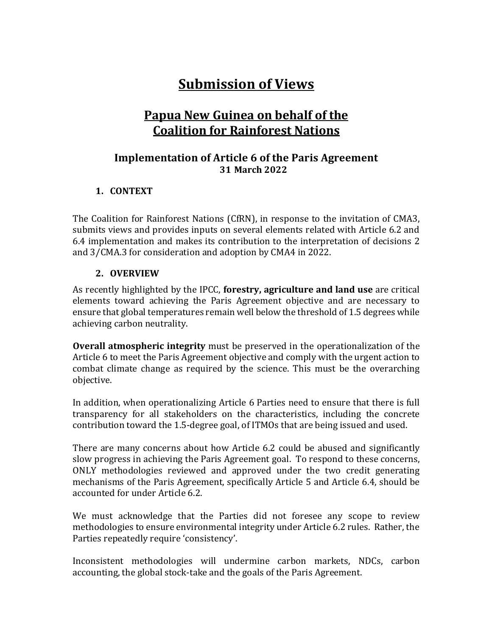# **Submission of Views**

# **Papua New Guinea on behalf of the Coalition for Rainforest Nations**

# **Implementation of Article 6 of the Paris Agreement 31 March 2022**

#### **1. CONTEXT**

The Coalition for Rainforest Nations (CfRN), in response to the invitation of CMA3, submits views and provides inputs on several elements related with Article 6.2 and 6.4 implementation and makes its contribution to the interpretation of decisions 2 and 3/CMA.3 for consideration and adoption by CMA4 in 2022.

#### **2. OVERVIEW**

As recently highlighted by the IPCC, **forestry, agriculture and land use** are critical elements toward achieving the Paris Agreement objective and are necessary to ensure that global temperatures remain well below the threshold of 1.5 degrees while achieving carbon neutrality.

**Overall atmospheric integrity** must be preserved in the operationalization of the Article 6 to meet the Paris Agreement objective and comply with the urgent action to combat climate change as required by the science. This must be the overarching objective. 

In addition, when operationalizing Article 6 Parties need to ensure that there is full transparency for all stakeholders on the characteristics, including the concrete contribution toward the 1.5-degree goal, of ITMOs that are being issued and used.

There are many concerns about how Article 6.2 could be abused and significantly slow progress in achieving the Paris Agreement goal. To respond to these concerns, ONLY methodologies reviewed and approved under the two credit generating mechanisms of the Paris Agreement, specifically Article 5 and Article 6.4, should be accounted for under Article 6.2.

We must acknowledge that the Parties did not foresee any scope to review methodologies to ensure environmental integrity under Article 6.2 rules. Rather, the Parties repeatedly require 'consistency'.

Inconsistent methodologies will undermine carbon markets, NDCs, carbon accounting, the global stock-take and the goals of the Paris Agreement.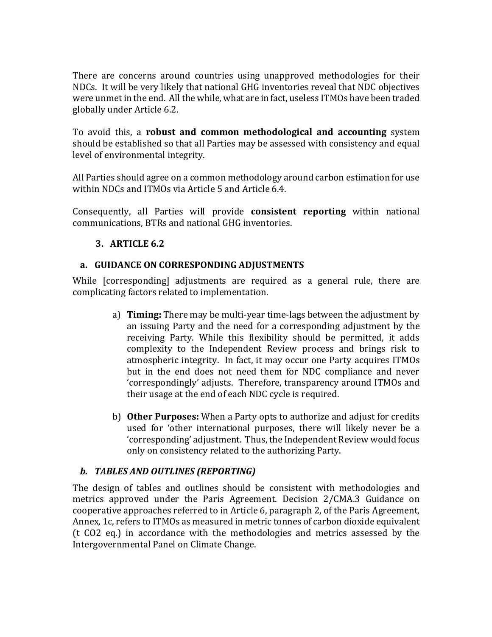There are concerns around countries using unapproved methodologies for their NDCs. It will be very likely that national GHG inventories reveal that NDC objectives were unmet in the end. All the while, what are in fact, useless ITMOs have been traded globally under Article 6.2.

To avoid this, a **robust and common methodological and accounting** system should be established so that all Parties may be assessed with consistency and equal level of environmental integrity.

All Parties should agree on a common methodology around carbon estimation for use within NDCs and ITMOs via Article 5 and Article 6.4.

Consequently, all Parties will provide **consistent reporting** within national communications, BTRs and national GHG inventories.

# **3. ARTICLE 6.2**

# **a.** GUIDANCE ON CORRESPONDING ADJUSTMENTS

While [corresponding] adjustments are required as a general rule, there are complicating factors related to implementation.

- a) **Timing:** There may be multi-year time-lags between the adjustment by an issuing Party and the need for a corresponding adjustment by the receiving Party. While this flexibility should be permitted, it adds complexity to the Independent Review process and brings risk to atmospheric integrity. In fact, it may occur one Party acquires ITMOs but in the end does not need them for NDC compliance and never 'correspondingly' adjusts. Therefore, transparency around ITMOs and their usage at the end of each NDC cycle is required.
- b) **Other Purposes:** When a Party opts to authorize and adjust for credits used for 'other international purposes, there will likely never be a 'corresponding' adjustment. Thus, the Independent Review would focus only on consistency related to the authorizing Party.

# *b. TABLES AND OUTLINES (REPORTING)*

The design of tables and outlines should be consistent with methodologies and metrics approved under the Paris Agreement. Decision 2/CMA.3 Guidance on cooperative approaches referred to in Article 6, paragraph 2, of the Paris Agreement, Annex, 1c, refers to ITMOs as measured in metric tonnes of carbon dioxide equivalent (t  $CO2$  eq.) in accordance with the methodologies and metrics assessed by the Intergovernmental Panel on Climate Change.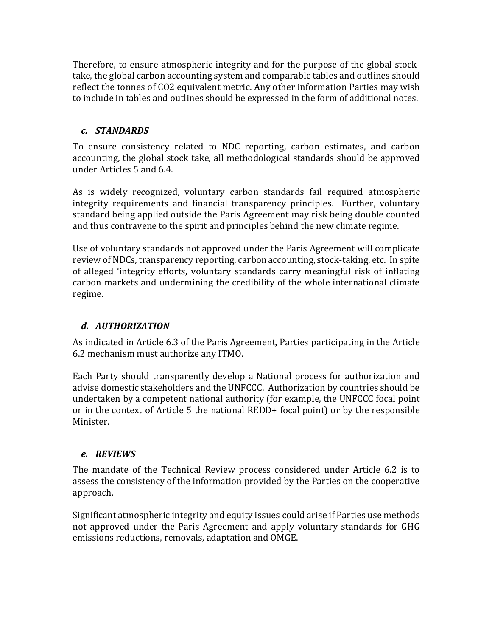Therefore, to ensure atmospheric integrity and for the purpose of the global stocktake, the global carbon accounting system and comparable tables and outlines should reflect the tonnes of CO2 equivalent metric. Any other information Parties may wish to include in tables and outlines should be expressed in the form of additional notes.

#### *c. STANDARDS*

To ensure consistency related to NDC reporting, carbon estimates, and carbon accounting, the global stock take, all methodological standards should be approved under Articles 5 and 6.4.

As is widely recognized, voluntary carbon standards fail required atmospheric integrity requirements and financial transparency principles. Further, voluntary standard being applied outside the Paris Agreement may risk being double counted and thus contravene to the spirit and principles behind the new climate regime.

Use of voluntary standards not approved under the Paris Agreement will complicate review of NDCs, transparency reporting, carbon accounting, stock-taking, etc. In spite of alleged 'integrity efforts, voluntary standards carry meaningful risk of inflating carbon markets and undermining the credibility of the whole international climate regime.

# *d. AUTHORIZATION*

As indicated in Article 6.3 of the Paris Agreement, Parties participating in the Article 6.2 mechanism must authorize any ITMO.

Each Party should transparently develop a National process for authorization and advise domestic stakeholders and the UNFCCC. Authorization by countries should be undertaken by a competent national authority (for example, the UNFCCC focal point or in the context of Article 5 the national REDD+ focal point) or by the responsible Minister.

# *e. REVIEWS*

The mandate of the Technical Review process considered under Article 6.2 is to assess the consistency of the information provided by the Parties on the cooperative approach. 

Significant atmospheric integrity and equity issues could arise if Parties use methods not approved under the Paris Agreement and apply voluntary standards for GHG emissions reductions, removals, adaptation and OMGE.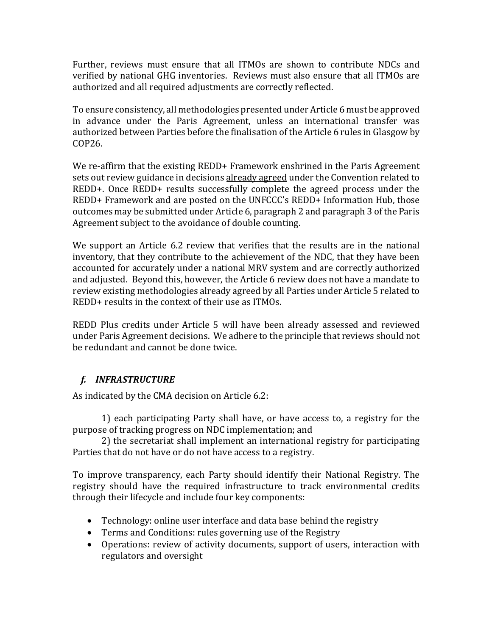Further, reviews must ensure that all ITMOs are shown to contribute NDCs and verified by national GHG inventories. Reviews must also ensure that all ITMOs are authorized and all required adjustments are correctly reflected.

To ensure consistency, all methodologies presented under Article 6 must be approved in advance under the Paris Agreement, unless an international transfer was authorized between Parties before the finalisation of the Article 6 rules in Glasgow by COP26.

We re-affirm that the existing  $REDD+$  Framework enshrined in the Paris Agreement sets out review guidance in decisions already agreed under the Convention related to REDD+. Once REDD+ results successfully complete the agreed process under the REDD+ Framework and are posted on the UNFCCC's REDD+ Information Hub, those outcomes may be submitted under Article 6, paragraph 2 and paragraph 3 of the Paris Agreement subject to the avoidance of double counting.

We support an Article 6.2 review that verifies that the results are in the national inventory, that they contribute to the achievement of the NDC, that they have been accounted for accurately under a national MRV system and are correctly authorized and adjusted. Beyond this, however, the Article 6 review does not have a mandate to review existing methodologies already agreed by all Parties under Article 5 related to REDD+ results in the context of their use as ITMOs.

REDD Plus credits under Article 5 will have been already assessed and reviewed under Paris Agreement decisions. We adhere to the principle that reviews should not be redundant and cannot be done twice.

# *f. INFRASTRUCTURE*

As indicated by the CMA decision on Article 6.2:

1) each participating Party shall have, or have access to, a registry for the purpose of tracking progress on NDC implementation; and

2) the secretariat shall implement an international registry for participating Parties that do not have or do not have access to a registry.

To improve transparency, each Party should identify their National Registry. The registry should have the required infrastructure to track environmental credits through their lifecycle and include four key components:

- Technology: online user interface and data base behind the registry
- Terms and Conditions: rules governing use of the Registry
- Operations: review of activity documents, support of users, interaction with regulators and oversight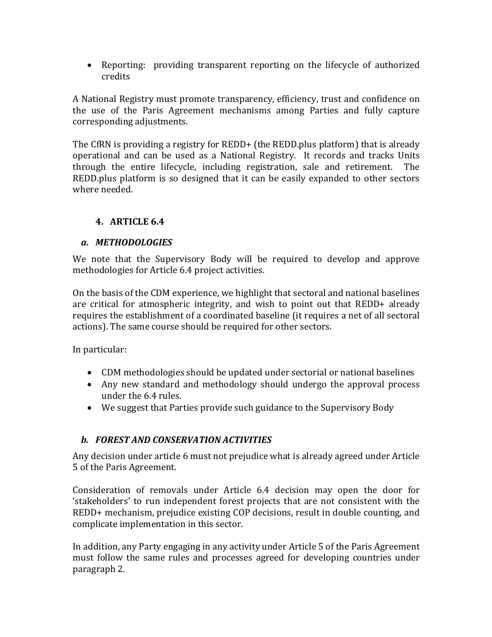• Reporting: providing transparent reporting on the lifecycle of authorized credits

A National Registry must promote transparency, efficiency, trust and confidence on the use of the Paris Agreement mechanisms among Parties and fully capture corresponding adjustments.

The CfRN is providing a registry for REDD+ (the REDD.plus platform) that is already operational and can be used as a National Registry. It records and tracks Units through the entire lifecycle, including registration, sale and retirement. The REDD.plus platform is so designed that it can be easily expanded to other sectors where needed.

# **4. ARTICLE 6.4**

#### *a. METHODOLOGIES*

We note that the Supervisory Body will be required to develop and approve methodologies for Article 6.4 project activities.

On the basis of the CDM experience, we highlight that sectoral and national baselines are critical for atmospheric integrity, and wish to point out that REDD+ already requires the establishment of a coordinated baseline (it requires a net of all sectoral actions). The same course should be required for other sectors.

In particular:

- CDM methodologies should be updated under sectorial or national baselines
- Any new standard and methodology should undergo the approval process under the 6.4 rules.
- We suggest that Parties provide such guidance to the Supervisory Body

# *b. FOREST AND CONSERVATION ACTIVITIES*

Any decision under article 6 must not prejudice what is already agreed under Article 5 of the Paris Agreement.

Consideration of removals under Article 6.4 decision may open the door for 'stakeholders' to run independent forest projects that are not consistent with the REDD+ mechanism, prejudice existing COP decisions, result in double counting, and complicate implementation in this sector.

In addition, any Party engaging in any activity under Article 5 of the Paris Agreement must follow the same rules and processes agreed for developing countries under paragraph 2.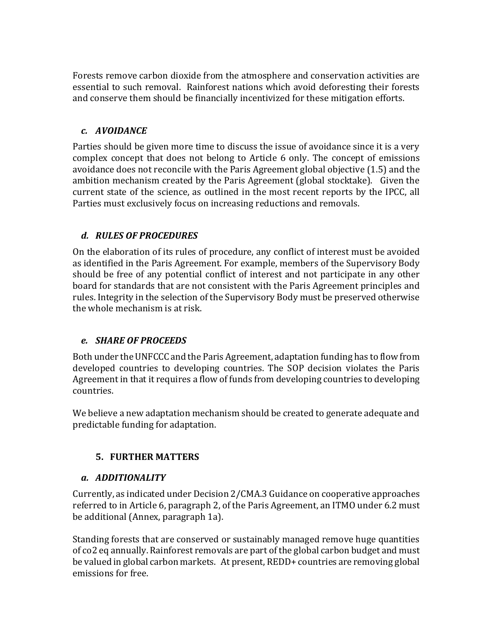Forests remove carbon dioxide from the atmosphere and conservation activities are essential to such removal. Rainforest nations which avoid deforesting their forests and conserve them should be financially incentivized for these mitigation efforts.

# *c. AVOIDANCE*

Parties should be given more time to discuss the issue of avoidance since it is a very complex concept that does not belong to Article 6 only. The concept of emissions avoidance does not reconcile with the Paris Agreement global objective (1.5) and the ambition mechanism created by the Paris Agreement (global stocktake). Given the current state of the science, as outlined in the most recent reports by the IPCC, all Parties must exclusively focus on increasing reductions and removals.

# *d. RULES OF PROCEDURES*

On the elaboration of its rules of procedure, any conflict of interest must be avoided as identified in the Paris Agreement. For example, members of the Supervisory Body should be free of any potential conflict of interest and not participate in any other board for standards that are not consistent with the Paris Agreement principles and rules. Integrity in the selection of the Supervisory Body must be preserved otherwise the whole mechanism is at risk.

#### *e. SHARE OF PROCEEDS*

Both under the UNFCCC and the Paris Agreement, adaptation funding has to flow from developed countries to developing countries. The SOP decision violates the Paris Agreement in that it requires a flow of funds from developing countries to developing countries. 

We believe a new adaptation mechanism should be created to generate adequate and predictable funding for adaptation.

#### **5. FURTHER MATTERS**

#### *a. ADDITIONALITY*

Currently, as indicated under Decision 2/CMA.3 Guidance on cooperative approaches referred to in Article 6, paragraph 2, of the Paris Agreement, an ITMO under 6.2 must be additional (Annex, paragraph 1a).

Standing forests that are conserved or sustainably managed remove huge quantities of co2 eq annually. Rainforest removals are part of the global carbon budget and must be valued in global carbon markets. At present, REDD+ countries are removing global emissions for free.